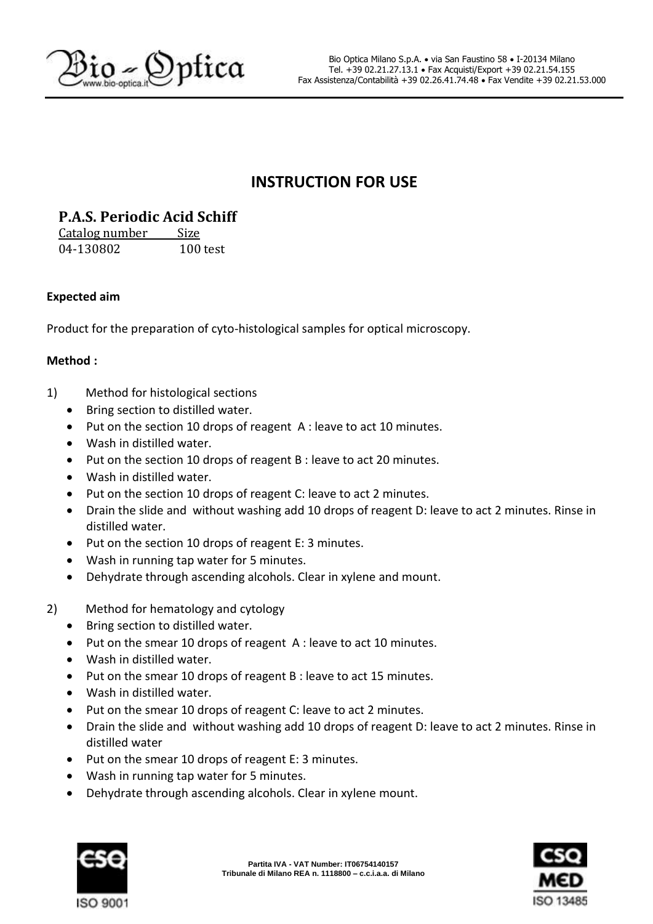

# **INSTRUCTION FOR USE**

## **P.A.S. Periodic Acid Schiff**

Catalog number Size 04-130802 100 test

### **Expected aim**

Product for the preparation of cyto-histological samples for optical microscopy.

### **Method :**

- 1) Method for histological sections
	- Bring section to distilled water.
	- Put on the section 10 drops of reagent A : leave to act 10 minutes.
	- Wash in distilled water.
	- Put on the section 10 drops of reagent B : leave to act 20 minutes.
	- Wash in distilled water.
	- Put on the section 10 drops of reagent C: leave to act 2 minutes.
	- Drain the slide and without washing add 10 drops of reagent D: leave to act 2 minutes. Rinse in distilled water.
	- Put on the section 10 drops of reagent E: 3 minutes.
	- Wash in running tap water for 5 minutes.
	- Dehydrate through ascending alcohols. Clear in xylene and mount.
- 2) Method for hematology and cytology
	- Bring section to distilled water.
	- Put on the smear 10 drops of reagent A : leave to act 10 minutes.
	- Wash in distilled water.
	- Put on the smear 10 drops of reagent B : leave to act 15 minutes.
	- Wash in distilled water.
	- Put on the smear 10 drops of reagent C: leave to act 2 minutes.
	- Drain the slide and without washing add 10 drops of reagent D: leave to act 2 minutes. Rinse in distilled water
	- Put on the smear 10 drops of reagent E: 3 minutes.
	- Wash in running tap water for 5 minutes.
	- Dehydrate through ascending alcohols. Clear in xylene mount.